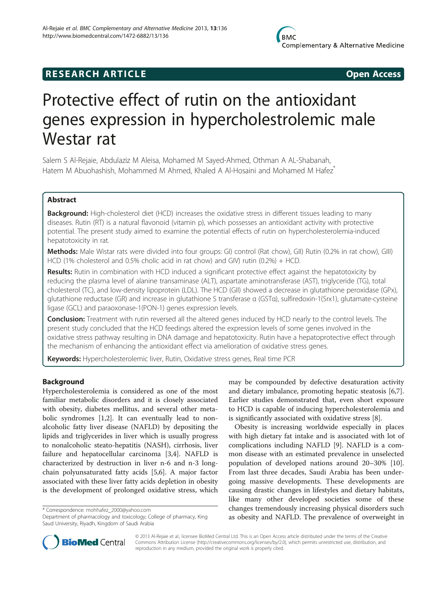## **RESEARCH ARTICLE Example 2014 CONSIDERING CONSIDERING CONSIDERING CONSIDERING CONSIDERING CONSIDERING CONSIDERING CONSIDERING CONSIDERING CONSIDERING CONSIDERING CONSIDERING CONSIDERING CONSIDERING CONSIDERING CONSIDE**

# Protective effect of rutin on the antioxidant genes expression in hypercholestrolemic male Westar rat

Salem S Al-Rejaie, Abdulaziz M Aleisa, Mohamed M Sayed-Ahmed, Othman A AL-Shabanah, Hatem M Abuohashish, Mohammed M Ahmed, Khaled A Al-Hosaini and Mohamed M Hafez<sup>\*</sup>

## Abstract

Background: High-cholesterol diet (HCD) increases the oxidative stress in different tissues leading to many diseases. Rutin (RT) is a natural flavonoid (vitamin p), which possesses an antioxidant activity with protective potential. The present study aimed to examine the potential effects of rutin on hypercholesterolemia-induced hepatotoxicity in rat.

**Methods:** Male Wistar rats were divided into four groups: GI) control (Rat chow), GII) Rutin (0.2% in rat chow), GIII) HCD (1% cholesterol and 0.5% cholic acid in rat chow) and GIV) rutin (0.2%) + HCD.

Results: Rutin in combination with HCD induced a significant protective effect against the hepatotoxicity by reducing the plasma level of alanine transaminase (ALT), aspartate aminotransferase (AST), triglyceride (TG), total cholesterol (TC), and low-density lipoprotein (LDL). The HCD (GII) showed a decrease in glutathione peroxidase (GPx), glutathione reductase (GR) and increase in glutathione S transferase α (GSTα), sulfiredoxin-1(Srx1), glutamate-cysteine ligase (GCL) and paraoxonase-1(PON-1) genes expression levels.

**Conclusion:** Treatment with rutin reversed all the altered genes induced by HCD nearly to the control levels. The present study concluded that the HCD feedings altered the expression levels of some genes involved in the oxidative stress pathway resulting in DNA damage and hepatotoxicity. Rutin have a hepatoprotective effect through the mechanism of enhancing the antioxidant effect via amelioration of oxidative stress genes.

Keywords: Hypercholesterolemic liver, Rutin, Oxidative stress genes, Real time PCR

## Background

Hypercholesterolemia is considered as one of the most familiar metabolic disorders and it is closely associated with obesity, diabetes mellitus, and several other metabolic syndromes [\[1](#page-6-0),[2](#page-6-0)]. It can eventually lead to nonalcoholic fatty liver disease (NAFLD) by depositing the lipids and triglycerides in liver which is usually progress to nonalcoholic steato-hepatitis (NASH), cirrhosis, liver failure and hepatocellular carcinoma [\[3,4](#page-6-0)]. NAFLD is characterized by destruction in liver n-6 and n-3 longchain polyunsaturated fatty acids [[5,6\]](#page-6-0). A major factor associated with these liver fatty acids depletion in obesity is the development of prolonged oxidative stress, which

\* Correspondence: [mohhafez\\_2000@yahoo.com](mailto:mohhafez_2000@yahoo.com)

Department of pharmacology and toxicology; College of pharmacy, King Saud University, Riyadh, Kingdom of Saudi Arabia

may be compounded by defective desaturation activity and dietary imbalance, promoting hepatic steatosis [\[6,7](#page-6-0)]. Earlier studies demonstrated that, even short exposure to HCD is capable of inducing hypercholesterolemia and is significantly associated with oxidative stress [\[8](#page-6-0)].

Obesity is increasing worldwide especially in places with high dietary fat intake and is associated with lot of complications including NAFLD [[9](#page-6-0)]. NAFLD is a common disease with an estimated prevalence in unselected population of developed nations around 20–30% [\[10](#page-6-0)]. From last three decades, Saudi Arabia has been undergoing massive developments. These developments are causing drastic changes in lifestyles and dietary habitats, like many other developed societies some of these changes tremendously increasing physical disorders such as obesity and NAFLD. The prevalence of overweight in



© 2013 Al-Rejaie et al.; licensee BioMed Central Ltd. This is an Open Access article distributed under the terms of the Creative Commons Attribution License [\(http://creativecommons.org/licenses/by/2.0\)](http://creativecommons.org/licenses/by/2.0), which permits unrestricted use, distribution, and reproduction in any medium, provided the original work is properly cited.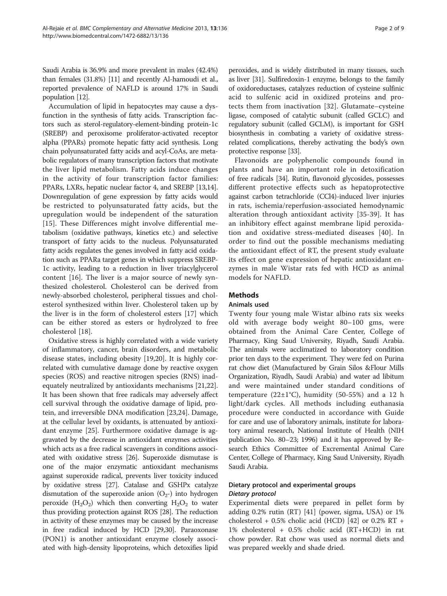Saudi Arabia is 36.9% and more prevalent in males (42.4%) than females (31.8%) [\[11\]](#page-6-0) and recently Al-hamoudi et al., reported prevalence of NAFLD is around 17% in Saudi population [\[12](#page-6-0)].

Accumulation of lipid in hepatocytes may cause a dysfunction in the synthesis of fatty acids. Transcription factors such as sterol-regulatory-element-binding protein-1c (SREBP) and peroxisome proliferator-activated receptor alpha (PPARs) promote hepatic fatty acid synthesis. Long chain polyunsaturated fatty acids and acyl-CoAs, are metabolic regulators of many transcription factors that motivate the liver lipid metabolism. Fatty acids induce changes in the activity of four transcription factor families: PPARs, LXRs, hepatic nuclear factor 4, and SREBP [\[13,14](#page-6-0)]. Downregulation of gene expression by fatty acids would be restricted to polyunsaturated fatty acids, but the upregulation would be independent of the saturation [[15](#page-6-0)]. These Differences might involve differential metabolism (oxidative pathways, kinetics etc.) and selective transport of fatty acids to the nucleus. Polyunsaturated fatty acids regulates the genes involved in fatty acid oxidation such as PPARa target genes in which suppress SREBP-1c activity, leading to a reduction in liver triacylglycerol content [\[16\]](#page-6-0). The liver is a major source of newly synthesized cholesterol. Cholesterol can be derived from newly-absorbed cholesterol, peripheral tissues and cholesterol synthesized within liver. Cholesterol taken up by the liver is in the form of cholesterol esters [\[17\]](#page-6-0) which can be either stored as esters or hydrolyzed to free cholesterol [[18\]](#page-6-0).

Oxidative stress is highly correlated with a wide variety of inflammatory, cancer, brain disorders, and metabolic disease states, including obesity [[19,20\]](#page-6-0). It is highly correlated with cumulative damage done by reactive oxygen species (ROS) and reactive nitrogen species (RNS) inadequately neutralized by antioxidants mechanisms [\[21,22](#page-6-0)]. It has been shown that free radicals may adversely affect cell survival through the oxidative damage of lipid, protein, and irreversible DNA modification [\[23,24\]](#page-6-0). Damage, at the cellular level by oxidants, is attenuated by antioxidant enzyme [[25\]](#page-7-0). Furthermore oxidative damage is aggravated by the decrease in antioxidant enzymes activities which acts as a free radical scavengers in conditions associated with oxidative stress [\[26](#page-7-0)]. Superoxide dismutase is one of the major enzymatic antioxidant mechanisms against superoxide radical, prevents liver toxicity induced by oxidative stress [\[27\]](#page-7-0). Catalase and GSHPx catalyze dismutation of the superoxide anion  $(O_{2})$  into hydrogen peroxide  $(H_2O_2)$  which then converting  $H_2O_2$  to water thus providing protection against ROS [\[28\]](#page-7-0). The reduction in activity of these enzymes may be caused by the increase in free radical induced by HCD [\[29,30](#page-7-0)]. Paraoxonase (PON1) is another antioxidant enzyme closely associated with high-density lipoproteins, which detoxifies lipid

peroxides, and is widely distributed in many tissues, such as liver [\[31\]](#page-7-0). Sulfiredoxin-1 enzyme, belongs to the family of oxidoreductases, catalyzes reduction of cysteine sulfinic acid to sulfenic acid in oxidized proteins and protects them from inactivation [[32](#page-7-0)]. Glutamate–cysteine ligase, composed of catalytic subunit (called GCLC) and regulatory subunit (called GCLM), is important for GSH biosynthesis in combating a variety of oxidative stressrelated complications, thereby activating the body's own protective response [[33](#page-7-0)].

Flavonoids are polyphenolic compounds found in plants and have an important role in detoxification of free radicals [\[34](#page-7-0)]. Rutin, flavonoid glycosides, possesses different protective effects such as hepatoprotective against carbon tetrachloride (CCl4)-induced liver injuries in rats, ischemia/reperfusion-associated hemodynamic alteration through antioxidant activity [[35](#page-7-0)-[39\]](#page-7-0). It has an inhibitory effect against membrane lipid peroxidation and oxidative stress-mediated diseases [[40](#page-7-0)]. In order to find out the possible mechanisms mediating the antioxidant effect of RT, the present study evaluate its effect on gene expression of hepatic antioxidant enzymes in male Wistar rats fed with HCD as animal models for NAFLD.

#### **Methods**

## Animals used

Twenty four young male Wistar albino rats six weeks old with average body weight 80–100 gms, were obtained from the Animal Care Center, College of Pharmacy, King Saud University, Riyadh, Saudi Arabia. The animals were acclimatized to laboratory condition prior ten days to the experiment. They were fed on Purina rat chow diet (Manufactured by Grain Silos &Flour Mills Organization, Riyadh, Saudi Arabia) and water ad libitum and were maintained under standard conditions of temperature  $(22\pm1^{\circ}C)$ , humidity (50-55%) and a 12 h light/dark cycles. All methods including euthanasia procedure were conducted in accordance with Guide for care and use of laboratory animals, institute for laboratory animal research, National Institute of Health (NIH publication No. 80–23; 1996) and it has approved by Research Ethics Committee of Excremental Animal Care Center, College of Pharmacy, King Saud University, Riyadh Saudi Arabia.

## Dietary protocol and experimental groups Dietary protocol

Experimental diets were prepared in pellet form by adding 0.2% rutin (RT) [\[41\]](#page-7-0) (power, sigma, USA) or 1% cholesterol + 0.5% cholic acid (HCD) [\[42\]](#page-7-0) or 0.2% RT + 1% cholesterol + 0.5% cholic acid (RT+HCD) in rat chow powder. Rat chow was used as normal diets and was prepared weekly and shade dried.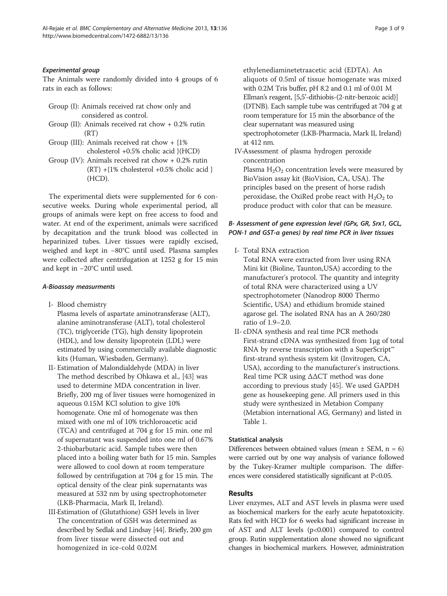### Experimental group

The Animals were randomly divided into 4 groups of 6 rats in each as follows:

- Group (I): Animals received rat chow only and considered as control.
- Group (II): Animals received rat chow + 0.2% rutin  $(RT)$
- Group (III): Animals received rat chow + {1% cholesterol +0.5% cholic acid }(HCD)
- Group (IV): Animals received rat chow + 0.2% rutin  $(RT) + {1%}$  cholesterol  $+0.5%$  cholic acid } (HCD).

The experimental diets were supplemented for 6 consecutive weeks. During whole experimental period, all groups of animals were kept on free access to food and water. At end of the experiment, animals were sacrificed by decapitation and the trunk blood was collected in heparinized tubes. Liver tissues were rapidly excised, weighed and kept in −80°C until used. Plasma samples were collected after centrifugation at 1252 g for 15 min and kept in −20°C until used.

### A-Bioassay measurments

- I- Blood chemistry
	- Plasma levels of aspartate aminotransferase (ALT), alanine aminotransferase (ALT), total cholesterol (TC), triglyceride (TG), high density lipoprotein (HDL), and low density lipoprotein (LDL) were estimated by using commercially available diagnostic kits (Human, Wiesbaden, Germany).
- II- Estimation of Malondialdehyde (MDA) in liver The method described by Ohkawa et al., [[43\]](#page-7-0) was used to determine MDA concentration in liver. Briefly, 200 mg of liver tissues were homogenized in aqueous 0.15M KCl solution to give 10% homogenate. One ml of homogenate was then mixed with one ml of 10% trichloroacetic acid (TCA) and centrifuged at 704 g for 15 min. one ml of supernatant was suspended into one ml of 0.67% 2-thiobarbutaric acid. Sample tubes were then placed into a boiling water bath for 15 min. Samples were allowed to cool down at room temperature followed by centrifugation at 704 g for 15 min. The optical density of the clear pink supernatants was measured at 532 nm by using spectrophotometer (LKB-Pharmacia, Mark II, Ireland).
- III-Estimation of (Glutathione) GSH levels in liver The concentration of GSH was determined as described by Sedlak and Lindsay [\[44](#page-7-0)]. Briefly, 200 gm from liver tissue were dissected out and homogenized in ice-cold 0.02M

ethylenediaminetetraacetic acid (EDTA). An aliquots of 0.5ml of tissue homogenate was mixed with 0.2M Tris buffer, pH 8.2 and 0.1 ml of 0.01 M Ellman's reagent, [5,5'-dithiobis-(2-nitr-benzoic acid)] (DTNB). Each sample tube was centrifuged at 704 g at room temperature for 15 min the absorbance of the clear supernatant was measured using spectrophotometer (LKB-Pharmacia, Mark II, Ireland) at 412 nm.

IV-Assessment of plasma hydrogen peroxide concentration Plasma  $H_2O_2$  concentration levels were measured by BioVision assay kit (BioVision, CA, USA). The

principles based on the present of horse radish peroxidase, the OxiRed probe react with  $H_2O_2$  to produce product with color that can be measure.

## B- Assessment of gene expression level (GPx, GR, Srx1, GCL, PON-1 and GST-α genes) by real time PCR in liver tissues

I- Total RNA extraction

Total RNA were extracted from liver using RNA Mini kit (Bioline, Taunton,USA) according to the manufacturer's protocol. The quantity and integrity of total RNA were characterized using a UV spectrophotometer (Nanodrop 8000 Thermo Scientific, USA) and ethidium bromide stained agarose gel. The isolated RNA has an A 260/280 ratio of 1.9–2.0.

II- cDNA synthesis and real time PCR methods First-strand cDNA was synthesized from 1μg of total RNA by reverse transcription with a SuperScript™ first-strand synthesis system kit (Invitrogen, CA, USA), according to the manufacturer's instructions. Real time PCR using ΔΔCT method was done according to previous study [\[45\]](#page-7-0). We used GAPDH gene as housekeeping gene. All primers used in this study were synthesized in Metabion Company (Metabion international AG, Germany) and listed in Table [1.](#page-3-0)

### Statistical analysis

Differences between obtained values (mean  $\pm$  SEM, n = 6) were carried out by one way analysis of variance followed by the Tukey-Kramer multiple comparison. The differences were considered statistically significant at P<0.05.

### Results

Liver enzymes, ALT and AST levels in plasma were used as biochemical markers for the early acute hepatotoxicity. Rats fed with HCD for 6 weeks had significant increase in of AST and ALT levels (p<0.001) compared to control group. Rutin supplementation alone showed no significant changes in biochemical markers. However, administration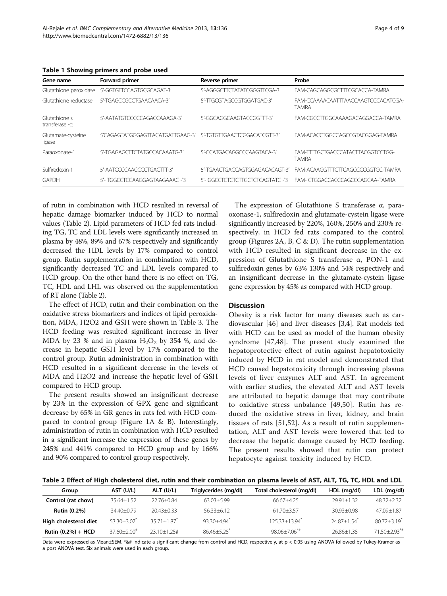<span id="page-3-0"></span>Table 1 Showing primers and probe used

| Gene name                      | Forward primer                   | Reverse primer                  | Probe                                               |
|--------------------------------|----------------------------------|---------------------------------|-----------------------------------------------------|
| Glutathione peroxidase         | 5'-GGTGTTCCAGTGCGCAGAT-3'        | 5'-AGGGCTTCTATATCGGGTTCGA-3'    | FAM-CAGCAGGCGCTTTCGCACCA-TAMRA                      |
| Glutathione reductase          | 5'-TGAGCCGCCTGAACAACA-3'         | 5'-TTGCGTAGCCGTGGATGAC-3'       | FAM-CCAAAACAATTTAACCAAGTCCCACATCGA-<br><b>TAMRA</b> |
| Glutathione s<br>transferase-a | 5'-AATATGTCCCCCAGACCAAAGA-3'     | 5'-GGCAGGCAAGTACCGGTTT-3'       | FAM-CGCCTTGGCAAAAGACAGGACCA-TAMRA                   |
| Glutamate-cysteine<br>ligase   | 5'CAGAGTATGGGAGTTACATGATTGAAG-3' | 5'-TGTGTTGAACTCGGACATCGTT-3'    | FAM-ACACCTGGCCAGCCGTACGGAG-TAMRA                    |
| Paraoxonase-1                  | 5'-TGAGAGCTTCTATGCCACAAATG-3'    | 5'-CCATGACAGGCCCAAGTACA-3'      | FAM-TTTTGCTGACCCATACTTACGGTCCTGG-<br><b>TAMRA</b>   |
| Sulfiredoxin-1                 | 5'-AATCCCCAACCCCTGACTTT-3'       | 5'-TGAACTGACCAGTGGAGACACAGT-3'  | FAM-ACAAGGTTTCTTCAGCCCCGGTGC-TAMRA                  |
| GAPDH                          | 5'- TGGCCTCCAAGGAGTAAGAAAC -'3   | 5'- GGCCTCTCTCTGCTCTCAGTATC -'3 | FAM-CTGGACCACCCAGCCCAGCAA-TAMRA                     |

of rutin in combination with HCD resulted in reversal of hepatic damage biomarker induced by HCD to normal values (Table 2). Lipid parameters of HCD fed rats including TG, TC and LDL levels were significantly increased in plasma by 48%, 89% and 67% respectively and significantly decreased the HDL levels by 17% compared to control group. Rutin supplementation in combination with HCD, significantly decreased TC and LDL levels compared to HCD group. On the other hand there is no effect on TG, TC, HDL and LHL was observed on the supplementation of RT alone (Table 2).

The effect of HCD, rutin and their combination on the oxidative stress biomarkers and indices of lipid peroxidation, MDA, H2O2 and GSH were shown in Table [3](#page-4-0). The HCD feeding was resulted significant increase in liver MDA by 23 % and in plasma  $H_2O_2$  by 354 %, and decrease in hepatic GSH level by 17% compared to the control group. Rutin administration in combination with HCD resulted in a significant decrease in the levels of MDA and H2O2 and increase the hepatic level of GSH compared to HCD group.

The present results showed an insignificant decrease by 23% in the expression of GPX gene and significant decrease by 65% in GR genes in rats fed with HCD compared to control group (Figure [1](#page-4-0)A & B). Interestingly, administration of rutin in combination with HCD resulted in a significant increase the expression of these genes by 245% and 441% compared to HCD group and by 166% and 90% compared to control group respectively.

The expression of Glutathione S transferase  $\alpha$ , paraoxonase-1, sulfiredoxin and glutamate-cystein ligase were significantly increased by 220%, 160%, 250% and 230% respectively, in HCD fed rats compared to the control group (Figures [2A](#page-5-0), B, C & D). The rutin supplementation with HCD resulted in significant decrease in the expression of Glutathione S transferase α, PON-1 and sulfiredoxin genes by 63% 130% and 54% respectively and an insignificant decrease in the glutamate-cystein ligase gene expression by 45% as compared with HCD group.

#### **Discussion**

Obesity is a risk factor for many diseases such as cardiovascular [[46\]](#page-7-0) and liver diseases [\[3,4](#page-6-0)]. Rat models fed with HCD can be used as model of the human obesity syndrome [[47,48](#page-7-0)]. The present study examined the hepatoprotective effect of rutin against hepatotoxicity induced by HCD in rat model and demonstrated that HCD caused hepatotoxicity through increasing plasma levels of liver enzymes ALT and AST. In agreement with earlier studies, the elevated ALT and AST levels are attributed to hepatic damage that may contribute to oxidative stress unbalance [[49,50](#page-7-0)]. Rutin has reduced the oxidative stress in liver, kidney, and brain tissues of rats [[51,52](#page-7-0)]. As a result of rutin supplementation, ALT and AST levels were lowered that led to decrease the hepatic damage caused by HCD feeding. The present results showed that rutin can protect hepatocyte against toxicity induced by HCD.

Table 2 Effect of High cholesterol diet, rutin and their combination on plasma levels of AST, ALT, TG, TC, HDL and LDL

| Group                 | AST (U/L)                   | ALT (U/L)                   | Triglycerides (mg/dl)       | Total cholesterol (mg/dl)     | HDL (mg/dl)                 | LDL (mg/dl)                    |
|-----------------------|-----------------------------|-----------------------------|-----------------------------|-------------------------------|-----------------------------|--------------------------------|
| Control (rat chow)    | $35.64 + 1.52$              | $22.76 + 0.84$              | 63.03+5.99                  | $66.67 + 4.25$                | $29.91 + 1.32$              | $48.32 \pm 2.32$               |
| <b>Rutin (0.2%)</b>   | 34.40+0.79                  | $20.43 + 0.33$              | $56.33 \pm 6.12$            | $61.70 + 3.57$                | $30.93 + 0.98$              | 47.09+1.87                     |
| High cholesterol diet | $53.30 \pm 3.07$            | $35.71 + 1.87$ <sup>*</sup> | $93.30 + 4.94$ <sup>*</sup> | $125.33 + 13.94$ <sup>*</sup> | $24.87 + 1.54$ <sup>*</sup> | $80.72 + 3.19$ <sup>*</sup>    |
| Rutin $(0.2\%) + HCD$ | $37.60 + 2.00$ <sup>#</sup> | $23.10 + 1.25$ #            | $86.46 + 5.25$              | $98.06 + 7.06^{*}$            | $26.86 + 1.35$              | $71.50 \pm 2.93$ <sup>*#</sup> |

Data were expressed as Mean±SEM. \*&# indicate a significant change from control and HCD, respectively, at p < 0.05 using ANOVA followed by Tukey-Kramer as a post ANOVA test. Six animals were used in each group.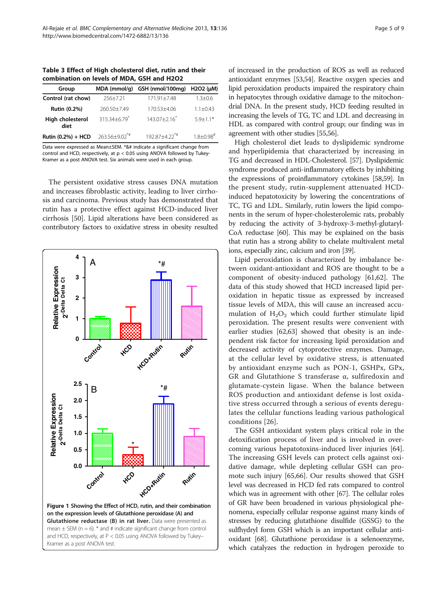<span id="page-4-0"></span>

| Group                    | MDA (mmol/g)                 | GSH (nmol/100mg)              | H <sub>2</sub> O <sub>2</sub> (uM) |  |
|--------------------------|------------------------------|-------------------------------|------------------------------------|--|
| Control (rat chow)       | $256 + 7.21$                 | $171.91 + 7.48$               | $1.3 + 0.6$                        |  |
| Rutin (0.2%)             | 260.50+7.49                  | 170.53+4.06                   | $1.1 + 0.43$                       |  |
| High cholesterol<br>diet | $315.34 + 6.79$ <sup>*</sup> | $143.07 + 2.16$               | $59+11*$                           |  |
| Rutin (0.2%) + HCD       | $263.56 + 9.02^{*}$          | $192.87 + 4.22$ <sup>*#</sup> | $1.8 + 0.98$ <sup>#</sup>          |  |

Data were expressed as Mean±SEM. \*&# indicate a significant change from control and HCD, respectively, at  $p < 0.05$  using ANOVA followed by Tukey-Kramer as a post ANOVA test. Six animals were used in each group.

The persistent oxidative stress causes DNA mutation and increases fibroblastic activity, leading to liver cirrhosis and carcinoma. Previous study has demonstrated that rutin has a protective effect against HCD-induced liver cirrhosis [[50](#page-7-0)]. Lipid alterations have been considered as contributory factors to oxidative stress in obesity resulted



of increased in the production of ROS as well as reduced antioxidant enzymes [\[53,54](#page-7-0)]. Reactive oxygen species and lipid peroxidation products impaired the respiratory chain in hepatocytes through oxidative damage to the mitochondrial DNA. In the present study, HCD feeding resulted in increasing the levels of TG, TC and LDL and decreasing in HDL as compared with control group; our finding was in agreement with other studies [\[55,56](#page-7-0)].

High cholesterol diet leads to dyslipidemic syndrome and hyperlipidemia that characterized by increasing in TG and decreased in HDL-Cholesterol. [\[57\]](#page-7-0). Dyslipidemic syndrome produced anti-inflammatory effects by inhibiting the expressions of proinflammatory cytokines [\[58,59](#page-7-0)]. In the present study, rutin-supplement attenuated HCDinduced hepatotoxicity by lowering the concentrations of TC, TG and LDL. Similarly, rutin lowers the lipid components in the serum of hyper-cholesterolemic rats, probably by reducing the activity of 3-hydroxy-3-methyl-glutaryl-CoA reductase [\[60](#page-7-0)]. This may be explained on the basis that rutin has a strong ability to chelate multivalent metal ions, especially zinc, calcium and iron [\[39\]](#page-7-0).

Lipid peroxidation is characterized by imbalance between oxidant-antioxidant and ROS are thought to be a component of obesity-induced pathology [[61](#page-7-0),[62](#page-7-0)]. The data of this study showed that HCD increased lipid peroxidation in hepatic tissue as expressed by increased tissue levels of MDA, this will cause an increased accumulation of  $H_2O_2$  which could further stimulate lipid peroxidation. The present results were convenient with earlier studies [[62](#page-7-0),[63](#page-7-0)] showed that obesity is an independent risk factor for increasing lipid peroxidation and decreased activity of cytoprotective enzymes. Damage, at the cellular level by oxidative stress, is attenuated by antioxidant enzyme such as PON-1, GSHPx, GPx, GR and Glutathione S transferase α, sulfiredoxin and glutamate-cystein ligase. When the balance between ROS production and antioxidant defense is lost oxidative stress occurred through a serious of events deregulates the cellular functions leading various pathological conditions [[26](#page-7-0)].

The GSH antioxidant system plays critical role in the detoxification process of liver and is involved in overcoming various hepatotoxins-induced liver injuries [\[64](#page-7-0)]. The increasing GSH levels can protect cells against oxidative damage, while depleting cellular GSH can promote such injury [[65](#page-7-0),[66](#page-7-0)]. Our results showed that GSH level was decreased in HCD fed rats compared to control which was in agreement with other [[67](#page-7-0)]. The cellular roles of GR have been broadened in various physiological phenomena, especially cellular response against many kinds of stresses by reducing glutathione disulfide (GSSG) to the sulfhydryl form GSH which is an important cellular antioxidant [\[68\]](#page-7-0). Glutathione peroxidase is a selenoenzyme, which catalyzes the reduction in hydrogen peroxide to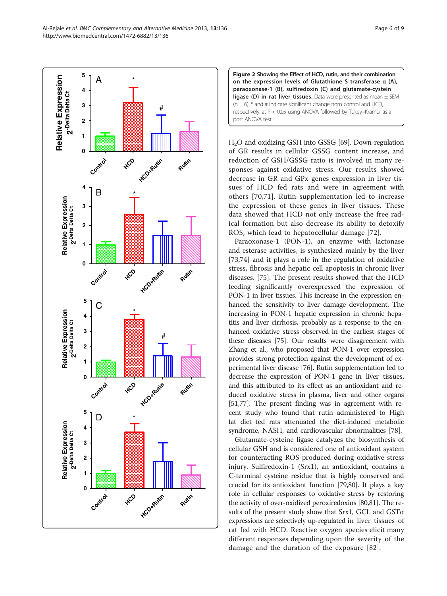on the expression levels of Glutathione S transferase α (A), paraoxonase-1 (B), sulfiredoxin (C) and glutamate-cystein ligase (D) in rat liver tissues. Data were presented as mean  $\pm$  SEM  $(n = 6)$ . \* and # indicate significant change from control and HCD, respectively, at P < 0.05 using ANOVA followed by Tukey–Kramer as a post ANOVA test.

Figure 2 Showing the Effect of HCD, rutin, and their combination

H2O and oxidizing GSH into GSSG [[69](#page-7-0)]. Down-regulation of GR results in cellular GSSG content increase, and reduction of GSH/GSSG ratio is involved in many responses against oxidative stress. Our results showed decrease in GR and GPx genes expression in liver tissues of HCD fed rats and were in agreement with others [[70,71](#page-8-0)]. Rutin supplementation led to increase the expression of these genes in liver tissues. These data showed that HCD not only increase the free radical formation but also decrease its ability to detoxify ROS, which lead to hepatocellular damage [[72\]](#page-8-0).

Paraoxonase-1 (PON-1), an enzyme with lactonase and esterase activities, is synthesized mainly by the liver [[73,74\]](#page-8-0) and it plays a role in the regulation of oxidative stress, fibrosis and hepatic cell apoptosis in chronic liver diseases. [[75\]](#page-8-0). The present results showed that the HCD feeding significantly overexpressed the expression of PON-1 in liver tissues. This increase in the expression enhanced the sensitivity to liver damage development. The increasing in PON-1 hepatic expression in chronic hepatitis and liver cirrhosis, probably as a response to the enhanced oxidative stress observed in the earliest stages of these diseases [\[75\]](#page-8-0). Our results were disagreement with Zhang et al., who proposed that PON-1 over expression provides strong protection against the development of experimental liver disease [\[76\]](#page-8-0). Rutin supplementation led to decrease the expression of PON-1 gene in liver tissues, and this attributed to its effect as an antioxidant and reduced oxidative stress in plasma, liver and other organs [[51](#page-7-0)[,77\]](#page-8-0). The present finding was in agreement with recent study who found that rutin administered to High fat diet fed rats attenuated the diet-induced metabolic syndrome, NASH, and cardiovascular abnormalities [\[78\]](#page-8-0).

Glutamate-cysteine ligase catalyzes the biosynthesis of cellular GSH and is considered one of antioxidant system for counteracting ROS produced during oxidative stress injury. Sulfiredoxin-1 (Srx1), an antioxidant, contains a C-terminal cysteine residue that is highly conserved and crucial for its antioxidant function [[79,80\]](#page-8-0). It plays a key role in cellular responses to oxidative stress by restoring the activity of over-oxidized peroxiredoxins [\[80,81](#page-8-0)]. The results of the present study show that Srx1, GCL and GSTα expressions are selectively up-regulated in liver tissues of rat fed with HCD. Reactive oxygen species elicit many different responses depending upon the severity of the damage and the duration of the exposure [[82](#page-8-0)].

<span id="page-5-0"></span>

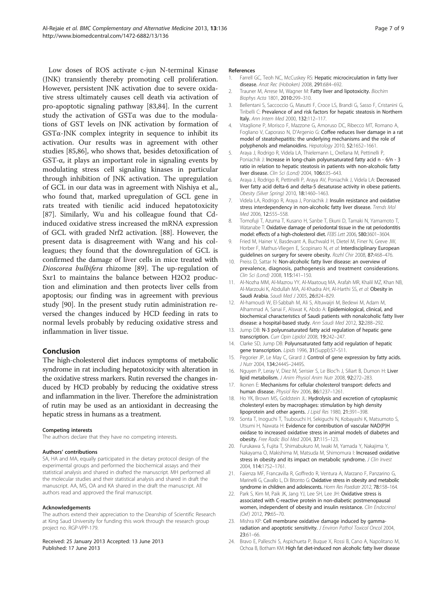<span id="page-6-0"></span>Low doses of ROS activate c-jun N-terminal Kinase (JNK) transiently thereby promoting cell proliferation. However, persistent JNK activation due to severe oxidative stress ultimately causes cell death via activation of pro-apoptotic signaling pathway [[83,84](#page-8-0)]. In the current study the activation of GSTα was due to the modulations of GST levels on JNK activation by formation of  $GST\alpha$ -JNK complex integrity in sequence to inhibit its activation. Our results was in agreement with other studies [\[85,86\]](#page-8-0), who shows that, besides detoxification of GST- $\alpha$ , it plays an important role in signaling events by modulating stress cell signaling kinases in particular through inhibition of JNK activation. The upregulation of GCL in our data was in agreement with Nishiya et al., who found that, marked upregulation of GCL gene in rats treated with tienilic acid induced hepatotoxicity [[87\]](#page-8-0). Similarly, Wu and his colleague found that Cdinduced oxidative stress increased the mRNA expression of GCL with graded Nrf2 activation. [[88\]](#page-8-0). However, the present data is disagreement with Wang and his colleagues; they found that the downregulation of GCL is confirmed the damage of liver cells in mice treated with Dioscorea bulbifera rhizome [[89](#page-8-0)]. The up-regulation of Sxr1 to maintains the balance between H2O2 production and elimination and then protects liver cells from apoptosis; our finding was in agreement with previous study [\[90](#page-8-0)]. In the present study rutin administration reversed the changes induced by HCD feeding in rats to normal levels probably by reducing oxidative stress and inflammation in liver tissue.

#### Conclusion

The high-cholesterol diet induces symptoms of metabolic syndrome in rat including hepatotoxicity with alteration in the oxidative stress markers. Rutin reversed the changes induced by HCD probably by reducing the oxidative stress and inflammation in the liver. Therefore the administration of rutin may be used as an antioxidant in decreasing the hepatic stress in humans as a treatment.

#### Competing interests

The authors declare that they have no competing interests.

#### Authors' contributions

SA, HA and MA, equally participated in the dietary protocol design of the experimental groups and performed the biochemical assays and their statistical analysis and shared in drafted the manuscript. MH performed all the molecular studies and their statistical analysis and shared in draft the manuscript. AA, MS, OA and KA shared in the draft the manuscript. All authors read and approved the final manuscript.

#### Acknowledgements

The authors extend their appreciation to the Deanship of Scientific Research at King Saud University for funding this work through the research group project no. RGP-VPP-179.

#### Received: 25 January 2013 Accepted: 13 June 2013 Published: 17 June 2013

#### References

- 1. Farrell GC, Teoh NC, McCuskey RS: Hepatic microcirculation in fatty liver disease. Anat Rec (Hoboken) 2008, 291:684–692.
- 2. Trauner M, Arrese M, Wagner M: Fatty liver and lipotoxicity. Biochim Biophys Acta 1801, 2010:299–310.
- 3. Bellentani S, Saccoccio G, Masutti F, Croce LS, Brandi G, Sasso F, Cristanini G, Tiribelli C: Prevalence of and risk factors for hepatic steatosis in Northern Italy. Ann Intern Med 2000, 132:112–117.
- 4. Vitaglione P, Morisco F, Mazzone G, Amoruso DC, Ribecco MT, Romano A, Fogliano V, Caporaso N, D'Argenio G: Coffee reduces liver damage in a rat model of steatohepatitis: the underlying mechanisms and the role of polyphenols and melanoidins. Hepatology 2010, 52:1652–1661.
- 5. Araya J, Rodrigo R, Videla LA, Thielemann L, Orellana M, Pettinelli P, Poniachik J: Increase in long-chain polyunsaturated fatty acid n - 6/n - 3 ratio in relation to hepatic steatosis in patients with non-alcoholic fatty liver disease. Clin Sci (Lond) 2004, 106:635–643.
- 6. Araya J, Rodrigo R, Pettinelli P, Araya AV, Poniachik J, Videla LA: Decreased liver fatty acid delta-6 and delta-5 desaturase activity in obese patients. Obesity (Silver Spring) 2010, 18:1460–1463.
- 7. Videla LA, Rodrigo R, Araya J, Poniachik J: Insulin resistance and oxidative stress interdependency in non-alcoholic fatty liver disease. Trends Mol Med 2006, 12:555–558.
- 8. Tomofuji T, Azuma T, Kusano H, Sanbe T, Ekuni D, Tamaki N, Yamamoto T, Watanabe T: Oxidative damage of periodontal tissue in the rat periodontitis model: effects of a high-cholesterol diet. FEBS Lett 2006, 580:3601–3604.
- 9. Fried M, Hainer V, Basdevant A, Buchwald H, Dietel M, Finer N, Greve JW, Horber F, Mathus-Vliegen E, Scopinaro N, et al: Interdisciplinary European guidelines on surgery for severe obesity. Rozhl Chir 2008, 87:468–476.
- 10. Preiss D, Sattar N: Non-alcoholic fatty liver disease: an overview of prevalence, diagnosis, pathogenesis and treatment considerations. Clin Sci (Lond) 2008, 115:141–150.
- 11. Al-Nozha MM, Al-Mazrou YY, Al-Maatouq MA, Arafah MR, Khalil MZ, Khan NB, Al-Marzouki K, Abdullah MA, Al-Khadra AH, Al-Harthi SS, et al: Obesity in Saudi Arabia. Saudi Med J 2005, 26:824-829.
- 12. Al-hamoudi W, El-Sabbah M, Ali S, Altuwaijri M, Bedewi M, Adam M, Alhammad A, Sanai F, Alswat K, Abdo A: Epidemiological, clinical, and biochemical characteristics of Saudi patients with nonalcoholic fatty liver disease: a hospital-based study. Ann Saudi Med 2012, 32:288–292.
- 13. Jump DB: N-3 polyunsaturated fatty acid regulation of hepatic gene transcription. Curr Opin Lipidol 2008, 19:242–247.
- 14. Clarke SD, Jump DB: Polyunsaturated fatty acid regulation of hepatic gene transcription. Lipids 1996, 31(Suppl):S7-S11.
- 15. Pegorier JP, Le May C, Girard J: Control of gene expression by fatty acids. J Nutr 2004, 134:2444S–2449S.
- 16. Nguyen P, Leray V, Diez M, Serisier S, Le Bloc'h J, Siliart B, Dumon H: Liver lipid metabolism. J Anim Physiol Anim Nutr 2008, 92:272–283.
- 17. Ikonen E: Mechanisms for cellular cholesterol transport: defects and human disease. Physiol Rev 2006, 86:1237–1261.
- 18. Ho YK, Brown MS, Goldstein JL: Hydrolysis and excretion of cytoplasmic cholesteryl esters by macrophages: stimulation by high density lipoprotein and other agents. J Lipid Res 1980, 21:391–398.
- 19. Sonta T, Inoguchi T, Tsubouchi H, Sekiguchi N, Kobayashi K, Matsumoto S, Utsumi H, Nawata H: Evidence for contribution of vascular NAD(P)H oxidase to increased oxidative stress in animal models of diabetes and obesity. Free Radic Biol Med 2004, 37:115–123.
- 20. Furukawa S, Fujita T, Shimabukuro M, Iwaki M, Yamada Y, Nakajima Y, Nakayama O, Makishima M, Matsuda M, Shimomura I: Increased oxidative stress in obesity and its impact on metabolic syndrome. J Clin Invest 2004, 114:1752–1761.
- 21. Faienza MF, Francavilla R, Goffredo R, Ventura A, Marzano F, Panzarino G, Marinelli G, Cavallo L, Di Bitonto G: Oxidative stress in obesity and metabolic syndrome in children and adolescents. Horm Res Paediatr 2012, 78:158–164.
- 22. Park S, Kim M, Paik JK, Jang YJ, Lee SH, Lee JH: Oxidative stress is associated with C-reactive protein in non-diabetic postmenopausal women, independent of obesity and insulin resistance. Clin Endocrinol (Oxf) 2012, 79:65–70.
- 23. Mishra KP: Cell membrane oxidative damage induced by gammaradiation and apoptotic sensitivity. J Environ Pathol Toxicol Oncol 2004, 23:61–66.
- 24. Bravo E, Palleschi S, Aspichueta P, Buque X, Rossi B, Cano A, Napolitano M, Ochoa B, Botham KM: High fat diet-induced non alcoholic fatty liver disease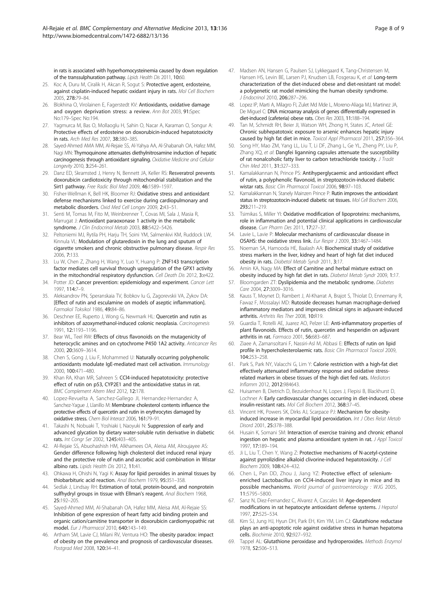<span id="page-7-0"></span>in rats is associated with hyperhomocysteinemia caused by down regulation of the transsulphuration pathway. Lipids Health Dis 2011, 10:60.

- 25. Koc A, Duru M, Ciralik H, Akcan R, Sogut S: Protective agent, erdosteine, against cisplatin-induced hepatic oxidant injury in rats. Mol Cell Biochem 2005, 278:79–84.
- 26. Blokhina O, Virolainen E, Fagerstedt KV: Antioxidants, oxidative damage and oxygen deprivation stress: a review. Ann Bot 2003, 91:Spec No:179–Spec No:194.
- 27. Yagmurca M, Bas O, Mollaoglu H, Sahin O, Nacar A, Karaman O, Songur A: Protective effects of erdosteine on doxorubicin-induced hepatotoxicity in rats. Arch Med Res 2007, 38:380–385.
- 28. Sayed-Ahmed AMA MM, Al-Rejaie SS, Al-Yahya AA, Al-Shabanah OA, Hafez MM, Nagi MN: Thymoquinone attenuates diethylnitrosamine induction of hepatic carcinogenesis through antioxidant signaling. Oxidative Medicine and Cellular Longevity 2010, 3:254–261.
- 29. Danz ED, Skramsted J, Henry N, Bennett JA, Keller RS: Resveratrol prevents doxorubicin cardiotoxicity through mitochondrial stabilization and the Sirt1 pathway. Free Radic Biol Med 2009, 46:1589–1597.
- 30. Fisher-Wellman K, Bell HK, Bloomer RJ: Oxidative stress and antioxidant defense mechanisms linked to exercise during cardiopulmonary and metabolic disorders. Oxid Med Cell Longev 2009, 2:43–51.
- 31. Senti M, Tomas M, Fito M, Weinbrenner T, Covas MI, Sala J, Masia R, Marrugat J: Antioxidant paraoxonase 1 activity in the metabolic syndrome. J Clin Endocrinol Metab 2003, 88:5422-5426.
- 32. Peltoniemi MJ, Rytila PH, Harju TH, Soini YM, Salmenkivi KM, Ruddock LW, Kinnula VL: Modulation of glutaredoxin in the lung and sputum of cigarette smokers and chronic obstructive pulmonary disease. Respir Res 2006, 7:133.
- 33. Lu W, Chen Z, Zhang H, Wang Y, Luo Y, Huang P: ZNF143 transcription factor mediates cell survival through upregulation of the GPX1 activity in the mitochondrial respiratory dysfunction. Cell Death Dis 2012, 3:e422.
- 34. Potter JD: Cancer prevention: epidemiology and experiment. Cancer Lett 1997, 114:7–9.
- 35. Aleksandrov PN, Speranskaia TV, Bobkov Iu G, Zagorevskii VA, Zykov DA: [Effect of rutin and esculamine on models of aseptic inflammation]. Farmakol Toksikol 1986, 49:84–86.
- 36. Deschner EE, Ruperto J, Wong G, Newmark HL: Quercetin and rutin as inhibitors of azoxymethanol-induced colonic neoplasia. Carcinogenesis 1991, 12:1193–1196.
- 37. Bear WL, Teel RW: Effects of citrus flavonoids on the mutagenicity of heterocyclic amines and on cytochrome P450 1A2 activity. Anticancer Res 2000, 20:3609–3614.
- 38. Chen S, Gong J, Liu F, Mohammed U: Naturally occurring polyphenolic antioxidants modulate IgE-mediated mast cell activation. Immunology 2000, 100:471–480.
- 39. Khan RA, Khan MR, Sahreen S: CCl4-induced hepatotoxicity: protective effect of rutin on p53, CYP2E1 and the antioxidative status in rat. BMC Complement Altern Med 2012, 12:178.
- 40. Lopez-Revuelta A, Sanchez-Gallego JI, Hernandez-Hernandez A, Sanchez-Yague J, Llanillo M: Membrane cholesterol contents influence the protective effects of quercetin and rutin in erythrocytes damaged by oxidative stress. Chem Biol Interact 2006, 161:79–91.
- 41. Takashi N, Nobuaki T, Yoshiaki I, Naoyuki N: Suppression of early and advanced glycation by dietary water-soluble rutin derivative in diabetic rats. Int Congr Ser 2002, 1245:403–405.
- 42. Al-Rejaie SS, Abuohashish HM, Alkhamees OA, Aleisa AM, Alroujayee AS: Gender difference following high cholesterol diet induced renal injury and the protective role of rutin and ascorbic acid combination in Wistar albino rats. Lipids Health Dis 2012, 11:41.
- 43. Ohkawa H, Ohishi N, Yagi K: Assay for lipid peroxides in animal tissues by thiobarbituric acid reaction. Anal Biochem 1979, 95:351–358.
- 44. Sedlak J, Lindsay RH: Estimation of total, protein-bound, and nonprotein sulfhydryl groups in tissue with Ellman's reagent. Anal Biochem 1968, 25:192–205.
- 45. Sayed-Ahmed MM, Al-Shabanah OA, Hafez MM, Aleisa AM, Al-Rejaie SS: Inhibition of gene expression of heart fatty acid binding protein and organic cation/carnitine transporter in doxorubicin cardiomyopathic rat model. Eur J Pharmacol 2010, 640:143–149.
- 46. Artham SM, Lavie CJ, Milani RV, Ventura HO: The obesity paradox: impact of obesity on the prevalence and prognosis of cardiovascular diseases. Postgrad Med 2008, 120:34–41.
- 47. Madsen AN, Hansen G, Paulsen SJ, Lykkegaard K, Tang-Christensen M, Hansen HS, Levin BE, Larsen PJ, Knudsen LB, Fosgerau K, et al: Long-term characterization of the diet-induced obese and diet-resistant rat model: a polygenetic rat model mimicking the human obesity syndrome. J Endocrinol 2010, 206:287–296.
- 48. Lopez IP, Marti A, Milagro FI, Zulet Md Mde L, Moreno-Aliaga MJ, Martinez JA, De Miguel C: DNA microarray analysis of genes differentially expressed in diet-induced (cafeteria) obese rats. Obes Res 2003, 11:188–194.
- 49. Tan M, Schmidt RH, Beier JI, Watson WH, Zhong H, States JC, Arteel GE: Chronic subhepatotoxic exposure to arsenic enhances hepatic injury caused by high fat diet in mice. Toxicol Appl Pharmacol 2011, 257:356–364.
- 50. Song HY, Mao ZM, Yang LL, Liu T, Li DF, Zhang L, Ge YL, Zheng PY, Liu P, Zhang XQ, et al: Dangfei liganning capsules attenuate the susceptibility of rat nonalcoholic fatty liver to carbon tetrachloride toxicity. J Tradit Chin Med 2011, 31:327–333.
- 51. Kamalakkannan N, Prince PS: Antihyperglycaemic and antioxidant effect of rutin, a polyphenolic flavonoid, in streptozotocin-induced diabetic wistar rats. Basic Clin Pharmacol Toxicol 2006, 98:97–103.
- 52. Kamalakkannan N, Stanely Mainzen Prince P: Rutin improves the antioxidant status in streptozotocin-induced diabetic rat tissues. Mol Cell Biochem 2006, 293:211–219.
- 53. Tsimikas S, Miller YI: Oxidative modification of lipoproteins: mechanisms, role in inflammation and potential clinical applications in cardiovascular disease. Curr Pharm Des 2011, 17:27-37.
- 54. Lavie L, Lavie P: Molecular mechanisms of cardiovascular disease in OSAHS: the oxidative stress link. Eur Respir J 2009, 33:1467–1484.
- 55. Noeman SA, Hamooda HE, Baalash AA: Biochemical study of oxidative stress markers in the liver, kidney and heart of high fat diet induced obesity in rats. Diabetol Metab Syndr 2011, 3:17.
- 56. Amin KA, Nagy MA: Effect of Carnitine and herbal mixture extract on obesity induced by high fat diet in rats. Diabetol Metab Syndr 2009, 1:17.
- 57. Bloomgarden ZT: Dyslipidemia and the metabolic syndrome. Diabetes Care 2004, 27:3009–3016.
- 58. Kauss T, Moynet D, Rambert J, Al-Kharrat A, Brajot S, Thiolat D, Ennemany R, Fawaz F, Mossalayi MD: Rutoside decreases human macrophage-derived inflammatory mediators and improves clinical signs in adjuvant-induced arthritis. Arthritis Res Ther 2008, 10:R19.
- 59. Guardia T, Rotelli AE, Juarez AO, Pelzer LE: Anti-inflammatory properties of plant flavonoids. Effects of rutin, quercetin and hesperidin on adjuvant arthritis in rat. Farmaco 2001, 56:683–687.
- 60. Ziaee A, Zamansoltani F, Nassiri-Asl M, Abbasi E: Effects of rutin on lipid profile in hypercholesterolaemic rats. Basic Clin Pharmacol Toxicol 2009, 104:253–258.
- 61. Park S, Park NY, Valacchi G, Lim Y: Calorie restriction with a high-fat diet effectively attenuated inflammatory response and oxidative stressrelated markers in obese tissues of the high diet fed rats. Mediators Inflamm 2012, 2012:984643.
- 62. Huisamen B, Dietrich D, Bezuidenhout N, Lopes J, Flepisi B, Blackhurst D, Lochner A: Early cardiovascular changes occurring in diet-induced, obese insulin-resistant rats. Mol Cell Biochem 2012, 368:37–45.
- 63. Vincent HK, Powers SK, Dirks AJ, Scarpace PJ: Mechanism for obesityinduced increase in myocardial lipid peroxidation. Int J Obes Relat Metab Disord 2001, 25:378–388.
- 64. Husain K, Somani SM: Interaction of exercise training and chronic ethanol ingestion on hepatic and plasma antioxidant system in rat. J Appl Toxicol 1997, 17:189–194.
- 65. Ji L, Liu T, Chen Y, Wang Z: Protective mechanisms of N-acetyl-cysteine against pyrrolizidine alkaloid clivorine-induced hepatotoxicity. J Cell Biochem 2009, 108:424–432.
- 66. Chen L, Pan DD, Zhou J, Jiang YZ: Protective effect of seleniumenriched Lactobacillus on CCl4-induced liver injury in mice and its possible mechanisms. World journal of gastroenterology : WJG 2005, 11:5795–5800.
- 67. Sanz N, Diez-Fernandez C, Alvarez A, Cascales M: Age-dependent modifications in rat hepatocyte antioxidant defense systems. J Hepatol 1997, 27:525–534.
- 68. Kim SJ, Jung HJ, Hyun DH, Park EH, Kim YM, Lim CJ: Glutathione reductase plays an anti-apoptotic role against oxidative stress in human hepatoma cells. Biochimie 2010, 92:927–932.
- 69. Tappel AL: Glutathione peroxidase and hydroperoxides. Methods Enzymol 1978, 52:506–513.